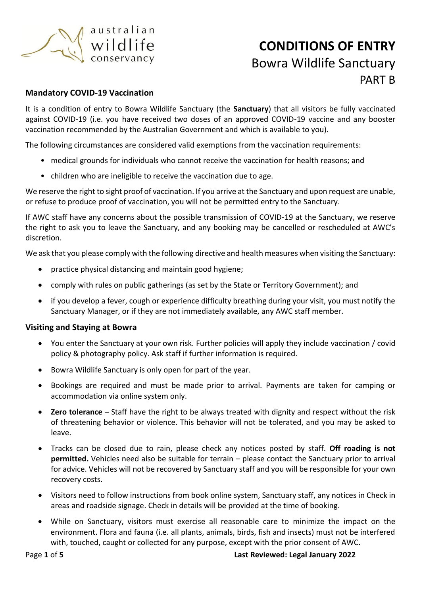

### **Mandatory COVID-19 Vaccination**

It is a condition of entry to Bowra Wildlife Sanctuary (the **Sanctuary**) that all visitors be fully vaccinated against COVID-19 (i.e. you have received two doses of an approved COVID-19 vaccine and any booster vaccination recommended by the Australian Government and which is available to you).

The following circumstances are considered valid exemptions from the vaccination requirements:

- medical grounds for individuals who cannot receive the vaccination for health reasons; and
- children who are ineligible to receive the vaccination due to age.

We reserve the right to sight proof of vaccination. If you arrive at the Sanctuary and upon request are unable, or refuse to produce proof of vaccination, you will not be permitted entry to the Sanctuary.

If AWC staff have any concerns about the possible transmission of COVID-19 at the Sanctuary, we reserve the right to ask you to leave the Sanctuary, and any booking may be cancelled or rescheduled at AWC's discretion.

We ask that you please comply with the following directive and health measures when visiting the Sanctuary:

- practice physical distancing and maintain good hygiene;
- comply with rules on public gatherings (as set by the State or Territory Government); and
- if you develop a fever, cough or experience difficulty breathing during your visit, you must notify the Sanctuary Manager, or if they are not immediately available, any AWC staff member.

### **Visiting and Staying at Bowra**

- You enter the Sanctuary at your own risk. Further policies will apply they include vaccination / covid policy & photography policy. Ask staff if further information is required.
- Bowra Wildlife Sanctuary is only open for part of the year.
- Bookings are required and must be made prior to arrival. Payments are taken for camping or accommodation via online system only.
- **Zero tolerance –** Staff have the right to be always treated with dignity and respect without the risk of threatening behavior or violence. This behavior will not be tolerated, and you may be asked to leave.
- Tracks can be closed due to rain, please check any notices posted by staff. **Off roading is not permitted.** Vehicles need also be suitable for terrain – please contact the Sanctuary prior to arrival for advice. Vehicles will not be recovered by Sanctuary staff and you will be responsible for your own recovery costs.
- Visitors need to follow instructions from book online system, Sanctuary staff, any notices in Check in areas and roadside signage. Check in details will be provided at the time of booking.
- While on Sanctuary, visitors must exercise all reasonable care to minimize the impact on the environment. Flora and fauna (i.e. all plants, animals, birds, fish and insects) must not be interfered with, touched, caught or collected for any purpose, except with the prior consent of AWC.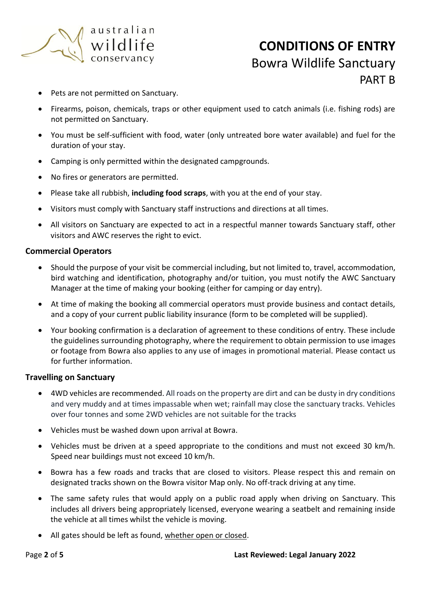

- Pets are not permitted on Sanctuary.
- Firearms, poison, chemicals, traps or other equipment used to catch animals (i.e. fishing rods) are not permitted on Sanctuary.
- You must be self-sufficient with food, water (only untreated bore water available) and fuel for the duration of your stay.
- Camping is only permitted within the designated campgrounds.
- No fires or generators are permitted.
- Please take all rubbish, **including food scraps**, with you at the end of your stay.
- Visitors must comply with Sanctuary staff instructions and directions at all times.
- All visitors on Sanctuary are expected to act in a respectful manner towards Sanctuary staff, other visitors and AWC reserves the right to evict.

### **Commercial Operators**

- Should the purpose of your visit be commercial including, but not limited to, travel, accommodation, bird watching and identification, photography and/or tuition, you must notify the AWC Sanctuary Manager at the time of making your booking (either for camping or day entry).
- At time of making the booking all commercial operators must provide business and contact details, and a copy of your current public liability insurance (form to be completed will be supplied).
- Your booking confirmation is a declaration of agreement to these conditions of entry. These include the guidelines surrounding photography, where the requirement to obtain permission to use images or footage from Bowra also applies to any use of images in promotional material. Please contact us for further information.

### **Travelling on Sanctuary**

- 4WD vehicles are recommended. All roads on the property are dirt and can be dusty in dry conditions and very muddy and at times impassable when wet; rainfall may close the sanctuary tracks. Vehicles over four tonnes and some 2WD vehicles are not suitable for the tracks
- Vehicles must be washed down upon arrival at Bowra.
- Vehicles must be driven at a speed appropriate to the conditions and must not exceed 30 km/h. Speed near buildings must not exceed 10 km/h.
- Bowra has a few roads and tracks that are closed to visitors. Please respect this and remain on designated tracks shown on the Bowra visitor Map only. No off-track driving at any time.
- The same safety rules that would apply on a public road apply when driving on Sanctuary. This includes all drivers being appropriately licensed, everyone wearing a seatbelt and remaining inside the vehicle at all times whilst the vehicle is moving.
- All gates should be left as found, whether open or closed.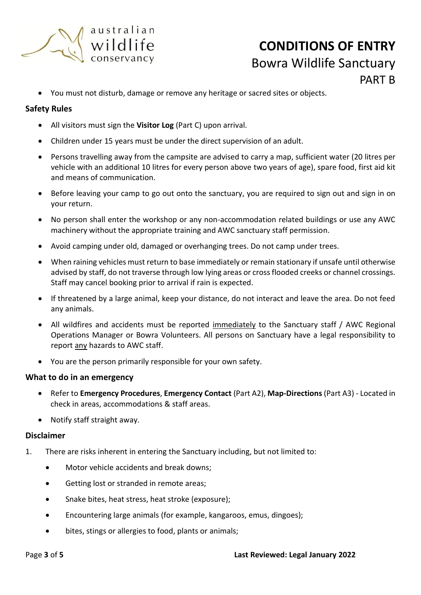

• You must not disturb, damage or remove any heritage or sacred sites or objects.

## **Safety Rules**

- All visitors must sign the **Visitor Log** (Part C) upon arrival.
- Children under 15 years must be under the direct supervision of an adult.
- Persons travelling away from the campsite are advised to carry a map, sufficient water (20 litres per vehicle with an additional 10 litres for every person above two years of age), spare food, first aid kit and means of communication.
- Before leaving your camp to go out onto the sanctuary, you are required to sign out and sign in on your return.
- No person shall enter the workshop or any non-accommodation related buildings or use any AWC machinery without the appropriate training and AWC sanctuary staff permission.
- Avoid camping under old, damaged or overhanging trees. Do not camp under trees.
- When raining vehicles must return to base immediately or remain stationary if unsafe until otherwise advised by staff, do not traverse through low lying areas or cross flooded creeks or channel crossings. Staff may cancel booking prior to arrival if rain is expected.
- If threatened by a large animal, keep your distance, do not interact and leave the area. Do not feed any animals.
- All wildfires and accidents must be reported immediately to the Sanctuary staff / AWC Regional Operations Manager or Bowra Volunteers. All persons on Sanctuary have a legal responsibility to report any hazards to AWC staff.
- You are the person primarily responsible for your own safety.

### **What to do in an emergency**

- Refer to **Emergency Procedures**, **Emergency Contact** (Part A2), **Map-Directions** (Part A3) Located in check in areas, accommodations & staff areas.
- Notify staff straight away.

### **Disclaimer**

- 1. There are risks inherent in entering the Sanctuary including, but not limited to:
	- Motor vehicle accidents and break downs;
	- Getting lost or stranded in remote areas;
	- Snake bites, heat stress, heat stroke (exposure);
	- Encountering large animals (for example, kangaroos, emus, dingoes);
	- bites, stings or allergies to food, plants or animals;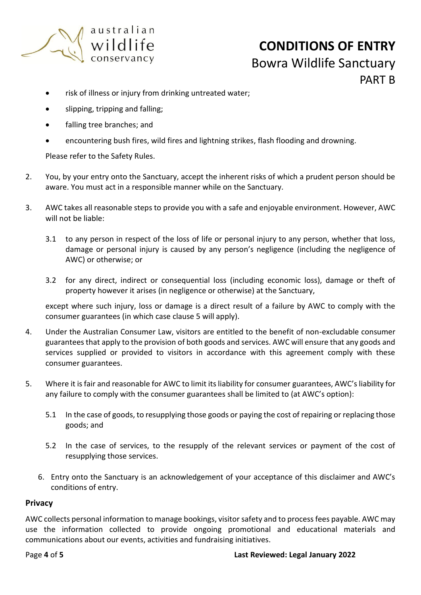

- risk of illness or injury from drinking untreated water;
- slipping, tripping and falling;
- falling tree branches; and
- encountering bush fires, wild fires and lightning strikes, flash flooding and drowning.

Please refer to the Safety Rules.

- 2. You, by your entry onto the Sanctuary, accept the inherent risks of which a prudent person should be aware. You must act in a responsible manner while on the Sanctuary.
- 3. AWC takes all reasonable steps to provide you with a safe and enjoyable environment. However, AWC will not be liable:
	- 3.1 to any person in respect of the loss of life or personal injury to any person, whether that loss, damage or personal injury is caused by any person's negligence (including the negligence of AWC) or otherwise; or
	- 3.2 for any direct, indirect or consequential loss (including economic loss), damage or theft of property however it arises (in negligence or otherwise) at the Sanctuary,

except where such injury, loss or damage is a direct result of a failure by AWC to comply with the consumer guarantees (in which case clause 5 will apply).

- 4. Under the Australian Consumer Law, visitors are entitled to the benefit of non-excludable consumer guarantees that apply to the provision of both goods and services. AWC will ensure that any goods and services supplied or provided to visitors in accordance with this agreement comply with these consumer guarantees.
- 5. Where it is fair and reasonable for AWC to limit its liability for consumer guarantees, AWC's liability for any failure to comply with the consumer guarantees shall be limited to (at AWC's option):
	- 5.1 In the case of goods, to resupplying those goods or paying the cost of repairing or replacing those goods; and
	- 5.2 In the case of services, to the resupply of the relevant services or payment of the cost of resupplying those services.
	- 6. Entry onto the Sanctuary is an acknowledgement of your acceptance of this disclaimer and AWC's conditions of entry.

### **Privacy**

AWC collects personal information to manage bookings, visitor safety and to process fees payable. AWC may use the information collected to provide ongoing promotional and educational materials and communications about our events, activities and fundraising initiatives.